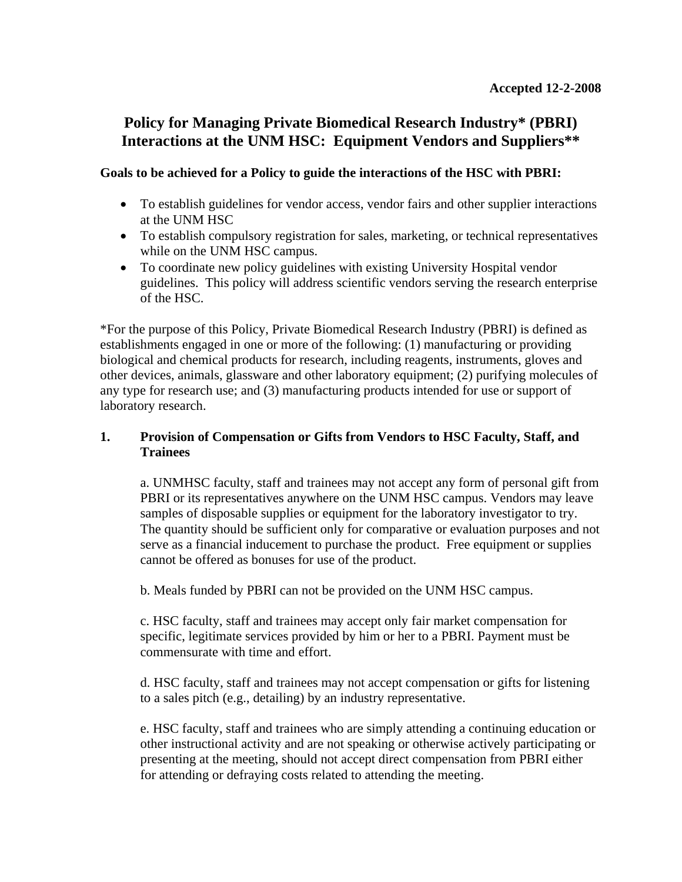# **Policy for Managing Private Biomedical Research Industry\* (PBRI) Interactions at the UNM HSC: Equipment Vendors and Suppliers\*\***

#### **Goals to be achieved for a Policy to guide the interactions of the HSC with PBRI:**

- To establish guidelines for vendor access, vendor fairs and other supplier interactions at the UNM HSC
- To establish compulsory registration for sales, marketing, or technical representatives while on the UNM HSC campus.
- To coordinate new policy guidelines with existing University Hospital vendor guidelines. This policy will address scientific vendors serving the research enterprise of the HSC.

\*For the purpose of this Policy, Private Biomedical Research Industry (PBRI) is defined as establishments engaged in one or more of the following: (1) manufacturing or providing biological and chemical products for research, including reagents, instruments, gloves and other devices, animals, glassware and other laboratory equipment; (2) purifying molecules of any type for research use; and (3) manufacturing products intended for use or support of laboratory research.

### **1. Provision of Compensation or Gifts from Vendors to HSC Faculty, Staff, and Trainees**

a. UNMHSC faculty, staff and trainees may not accept any form of personal gift from PBRI or its representatives anywhere on the UNM HSC campus. Vendors may leave samples of disposable supplies or equipment for the laboratory investigator to try. The quantity should be sufficient only for comparative or evaluation purposes and not serve as a financial inducement to purchase the product. Free equipment or supplies cannot be offered as bonuses for use of the product.

b. Meals funded by PBRI can not be provided on the UNM HSC campus.

c. HSC faculty, staff and trainees may accept only fair market compensation for specific, legitimate services provided by him or her to a PBRI. Payment must be commensurate with time and effort.

d. HSC faculty, staff and trainees may not accept compensation or gifts for listening to a sales pitch (e.g., detailing) by an industry representative.

e. HSC faculty, staff and trainees who are simply attending a continuing education or other instructional activity and are not speaking or otherwise actively participating or presenting at the meeting, should not accept direct compensation from PBRI either for attending or defraying costs related to attending the meeting.